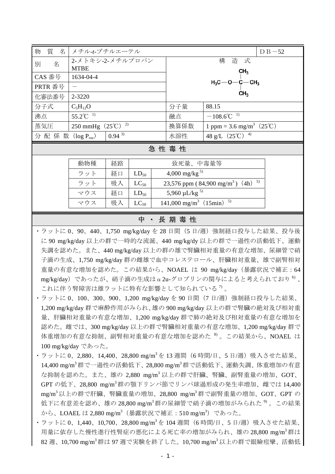| 物<br>質 名                        | メチル-t-ブチルエーテル                                 | $D B - 52$                                                                   |                                                      |  |  |  |  |  |
|---------------------------------|-----------------------------------------------|------------------------------------------------------------------------------|------------------------------------------------------|--|--|--|--|--|
| 名<br>別                          | 2-メトキシ-2-メチルプロパン                              |                                                                              | 造 式<br>構                                             |  |  |  |  |  |
|                                 | <b>MTBE</b>                                   | CH <sub>3</sub><br>H <sub>3</sub> C--O--C-CH <sub>3</sub><br>CH <sub>3</sub> |                                                      |  |  |  |  |  |
| CAS 番号                          | 1634-04-4                                     |                                                                              |                                                      |  |  |  |  |  |
| PRTR 番号                         |                                               |                                                                              |                                                      |  |  |  |  |  |
| 化審法番号                           | 2-3220                                        |                                                                              |                                                      |  |  |  |  |  |
| 分子式                             | $C_5H_{12}O$                                  | 分子量                                                                          | 88.15                                                |  |  |  |  |  |
| 沸点                              | $55.2^{\circ}$ C <sup>1</sup>                 | 融点                                                                           | $-108.6^{\circ}C^{-1}$                               |  |  |  |  |  |
| 蒸気圧                             | 250 mmHg $(25^{\circ}\text{C})$ <sup>2)</sup> | 換算係数                                                                         | 1 ppm = 3.6 mg/m <sup>3</sup> $(25^{\circ}\text{C})$ |  |  |  |  |  |
| $0.94^{3}$<br>分 配 係 数 (log Pow) |                                               | 水溶性                                                                          | 48 g/L $(25^{\circ}\text{C})^{-4}$                   |  |  |  |  |  |
| 性毒性<br>急                        |                                               |                                                                              |                                                      |  |  |  |  |  |

| 動物種 | 経路 |           | 致死量、中毒量等                                                  |
|-----|----|-----------|-----------------------------------------------------------|
| ラット | 経口 | $LD_{50}$ | 4,000 mg/kg <sup>5)</sup>                                 |
| ラット | 吸入 | $LC_{50}$ | 23,576 ppm (84,900 mg/m <sup>3</sup> ) (4h) <sup>5)</sup> |
| マウス | 経口 | $LD_{50}$ | 5,960 $\mu$ L/kg <sup>5)</sup>                            |
| マウス | 吸入 | $LC_{50}$ | $141,000$ mg/m <sup>3</sup> $(15$ min) <sup>5)</sup>      |

## 中 ・ 長 期 毒 性

- ·ラットに 0、90、440、1,750 mg/kg/day を 28 日間(5 日/週)強制経口投与した結果、投与後 に 90 mg/kg/day 以上の群で一時的な流涎、440 mg/kg/dy 以上の群で一過性の活動低下、運動 失調を認めた。また、440 mg/kg/day 以上の群の雄で腎臓相対重量の有意な増加、尿細管で硝 子滴の生成、1,750 mg/kg/day 群の雌雄で血中コレステロール、肝臓相対重量、雄で副腎相対 重量の有意な増加を認めた。この結果から、NOAEL は 90 mg/kg/day(暴露状況で補正:64 mg/kg/day)であったが、硝子滴の生成はα2u-グロブリンの関与によると考えられており<sup>6)</sup>、 これに伴う腎障害は雄ラットに特有な影響として知られている<sup>7)</sup>。
- ·ラットに 0、100、300、900、1,200 mg/kg/day を 90 日間(7日/週)強制経口投与した結果、 1,200 mg/kg/day 群で麻酔作用がみられ、雄の 900 mg/kg/day 以上の群で腎臓の絶対及び相対重 量、肝臓相対重量の有意な増加、1,200 mg/kg/day 群で肺の絶対及び相対重量の有意な増加を 認めた。雌では、300 mg/kg/day 以上の群で腎臓相対重量の有意な増加、1,200 mg/kg/day 群で 体重増加の有意な抑制、副腎相対重量の有意な増加を認めた 8) 。この結果から、NOAEL は 100 mg/kg/day であった。
- ・ラットに 0、2,880、14,400、28,800 mg/m<sup>3</sup>を 13 週間(6 時間/日、5 日/週)吸入させた結果、 14,400 mg/m3 群で一過性の活動低下、28,800 mg/m3 群で活動低下、運動失調、体重増加の有意 な抑制を認めた。また、雄の 2,880 mg/m<sup>3</sup> 以上の群で肝臓、腎臓、副腎重量の増加、GOT、 GPT の低下、28,800 mg/m3 群の顎下リンパ節でリンパ球過形成の発生率増加、雌では 14,400 mg/m3 以上の群で肝臓、腎臓重量の増加、28,800 mg/m3 群で副腎重量の増加、GOT、GPT の 低下に有意差を認め、雄の 28,800 mg/m<sup>3</sup>群の尿細管で硝子滴の増加がみられた<sup>9</sup>。この結果 から、LOAEL は 2,880 mg/m<sup>3</sup>(暴露状況で補正:510 mg/m<sup>3</sup>)であった。
- ・ラットに 0、1,440、10,700、28,800 mg/m<sup>3</sup>を 104 週間(6 時間/日、5 日/週)吸入させた結果、 用量に依存した慢性進行性腎症の悪化による死亡率の増加がみられ、雄の 28,800 mg/m3 群は 82 週、10,700 mg/m3 群は 97 週で実験を終了した。10,700 mg/m3 以上の群で眼瞼痙攣、活動低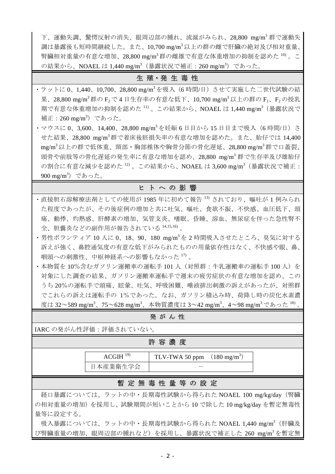下、運動失調、驚愕反射の消失、眼周辺部の腫れ、流涎がみられ、28,800 mg/m3 群で運動失 調は暴露後も短時間継続した。また、10,700 mg/m3 以上の群の雌で肝臓の絶対及び相対重量、 腎臓相対重量の有意な増加、28,800 mg/m<sup>3</sup>群の雌雄で有意な体重増加の抑制を認めた $^{10}$ 。こ の結果から、NOAEL は 1,440 mg/m<sup>3</sup>(暴露状況で補正: 260 mg/m<sup>3</sup>)であった。

## 生殖·発生毒性

- ・ラットに 0、1,440、10,700、28,800 mg/m<sup>3</sup>を吸入 (6 時間/日) させて実施した二世代試験の結 果、28,800 mg/m<sup>3</sup>群の F<sub>2</sub> で 4 日生存率の有意な低下、10,700 mg/m<sup>3</sup> 以上の群の F1、F<sub>2</sub> の授乳 期で有意な体重増加の抑制を認めた <sup>11)</sup> 。この結果から、NOAEL は 1,440 mg/m<sup>3</sup>(暴露状況で 補正:260 mg/m3 )であった。
- ・マウスに 0、3,600、14,400、28,800 mg/m<sup>3</sup> を妊娠 6 日目から 15 日目まで吸入(6 時間/日)さ せた結果、28,800 mg/m<sup>3</sup> 群で着床後胚損失率の有意な増加を認めた。また、胎仔では 14,400 mg/m3 以上の群で低体重、頸部・胸部椎体や胸骨分節の骨化遅延、28,800 mg/m3 群で口蓋裂、 頭骨や前肢等の骨化遅延の発生率に有意な増加を認め、28,800 mg/m<sup>3</sup>群で生存率及び雄胎仔 の割合に有意な減少を認めた 12)。この結果から、NOAEL は 3,600 mg/m<sup>3</sup> (暴露状況で補正: 900 mg/m<sup>3</sup>)であった。

## ヒトへの影響

- ・直接胆石溶解療法剤としての使用が 1985 年に初めて報告 13) されており、嘔吐が 1 例みられ た程度であったが、その後症例の増加と共に吐気、嘔吐、食欲不振、不快感、血圧低下、頭 痛、動悸、灼熱感、肝酵素の増加、気管支炎、嗜眠、昏睡、溶血、無尿症を伴った急性腎不 全、胆嚢炎などの副作用が報告されている 14,15,16) 。
- ・男性ボランティア 10 人に 0、18、90、180 mg/m3 を 2 時間吸入させたところ、臭気に対する 訴えが強く、鼻腔通気度の有意な低下がみられたものの用量依存性はなく、不快感や眼、鼻、 咽頭への刺激性、中枢神経系への影響もなかった17)。
- ・本物質を10%含むガソリン運搬車の運転手101人 (対照群:牛乳運搬車の運転手100人)を 対象にした調査の結果、ガソリン運搬車運転手で週末の疲労症状の有意な増加を認め、この うち 20%の運転手で頭痛、眩暈、吐気、呼吸困難、唾液排出刺激の訴えがあったが、対照群 でこれらの訴えは運転手の 1%であった。なお、ガソリン積込み時、荷降し時の炭化水素濃 度は 32~589 mg/m<sup>3</sup>、75~628 mg/m<sup>3</sup>、本物質濃度は 3~42 mg/m<sup>3</sup>、4~98 mg/m<sup>3</sup> であった <sup>18)</sup> 。|

| 発がん性                                                |                                                                 |                                       |  |  |  |  |  |
|-----------------------------------------------------|-----------------------------------------------------------------|---------------------------------------|--|--|--|--|--|
| IARC の発がん性評価:評価されていない。                              |                                                                 |                                       |  |  |  |  |  |
| 許容濃度                                                |                                                                 |                                       |  |  |  |  |  |
|                                                     | $ACGIH$ <sup>19)</sup>                                          | TLV-TWA 50 ppm $(180 \text{ mg/m}^3)$ |  |  |  |  |  |
|                                                     | 日本産業衛生学会                                                        |                                       |  |  |  |  |  |
| 暫 定 無 毒 性 量 等 の 設 定                                 |                                                                 |                                       |  |  |  |  |  |
| 経口暴露については、ラットの中・長期毒性試験から得られた NOAEL 100 mg/kg/day(腎臓 |                                                                 |                                       |  |  |  |  |  |
| の相対重量の増加)を採用し、試験期間が短いことから10で除した10 mg/kg/dayを暫定無毒性   |                                                                 |                                       |  |  |  |  |  |
| 量等に設定する。                                            |                                                                 |                                       |  |  |  |  |  |
|                                                     | 吸入暴露については、ラットの中・長期毒性試験から得られた NOAEL 1,440 mg/m <sup>3</sup> (肝臓及 |                                       |  |  |  |  |  |
|                                                     | び腎臓重量の増加、眼周辺部の腫れなど)を採用し、暴露状況で補正した 260 mg/m3を暫定無                 |                                       |  |  |  |  |  |